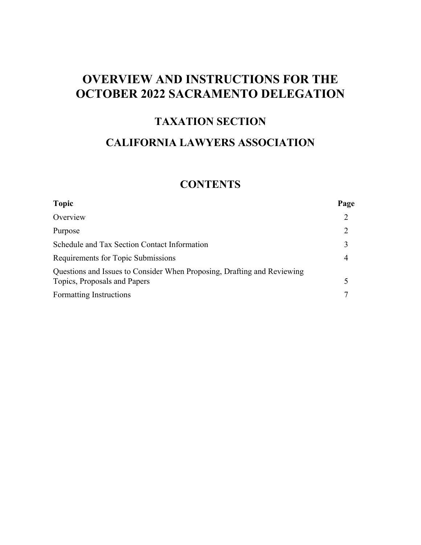# **OVERVIEW AND INSTRUCTIONS FOR THE OCTOBER 2022 SACRAMENTO DELEGATION**

### **TAXATION SECTION**

# **CALIFORNIA LAWYERS ASSOCIATION**

# **CONTENTS**

| <b>Topic</b>                                                            | Page                        |
|-------------------------------------------------------------------------|-----------------------------|
| Overview                                                                | 2                           |
| Purpose                                                                 | $\mathcal{D}_{\mathcal{L}}$ |
| Schedule and Tax Section Contact Information                            |                             |
| Requirements for Topic Submissions                                      |                             |
| Questions and Issues to Consider When Proposing, Drafting and Reviewing |                             |
| Topics, Proposals and Papers                                            |                             |
| Formatting Instructions                                                 |                             |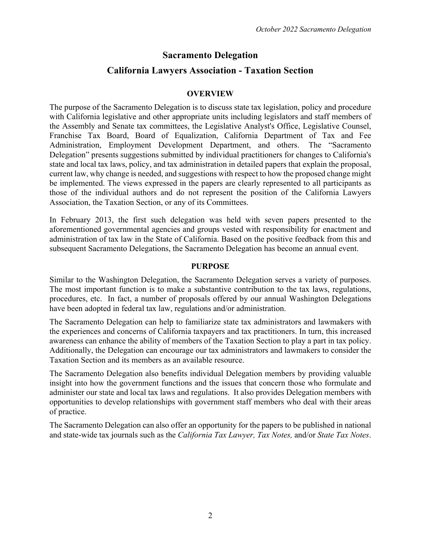### **Sacramento Delegation**

### **California Lawyers Association - Taxation Section**

#### **OVERVIEW**

The purpose of the Sacramento Delegation is to discuss state tax legislation, policy and procedure with California legislative and other appropriate units including legislators and staff members of the Assembly and Senate tax committees, the Legislative Analyst's Office, Legislative Counsel, Franchise Tax Board, Board of Equalization, California Department of Tax and Fee Administration, Employment Development Department, and others. The "Sacramento Delegation" presents suggestions submitted by individual practitioners for changes to California's state and local tax laws, policy, and tax administration in detailed papers that explain the proposal, current law, why change is needed, and suggestions with respect to how the proposed change might be implemented. The views expressed in the papers are clearly represented to all participants as those of the individual authors and do not represent the position of the California Lawyers Association, the Taxation Section, or any of its Committees.

In February 2013, the first such delegation was held with seven papers presented to the aforementioned governmental agencies and groups vested with responsibility for enactment and administration of tax law in the State of California. Based on the positive feedback from this and subsequent Sacramento Delegations, the Sacramento Delegation has become an annual event.

#### **PURPOSE**

Similar to the Washington Delegation, the Sacramento Delegation serves a variety of purposes. The most important function is to make a substantive contribution to the tax laws, regulations, procedures, etc. In fact, a number of proposals offered by our annual Washington Delegations have been adopted in federal tax law, regulations and/or administration.

The Sacramento Delegation can help to familiarize state tax administrators and lawmakers with the experiences and concerns of California taxpayers and tax practitioners. In turn, this increased awareness can enhance the ability of members of the Taxation Section to play a part in tax policy. Additionally, the Delegation can encourage our tax administrators and lawmakers to consider the Taxation Section and its members as an available resource.

The Sacramento Delegation also benefits individual Delegation members by providing valuable insight into how the government functions and the issues that concern those who formulate and administer our state and local tax laws and regulations. It also provides Delegation members with opportunities to develop relationships with government staff members who deal with their areas of practice.

The Sacramento Delegation can also offer an opportunity for the papers to be published in national and state-wide tax journals such as the *California Tax Lawyer, Tax Notes,* and/or *State Tax Notes*.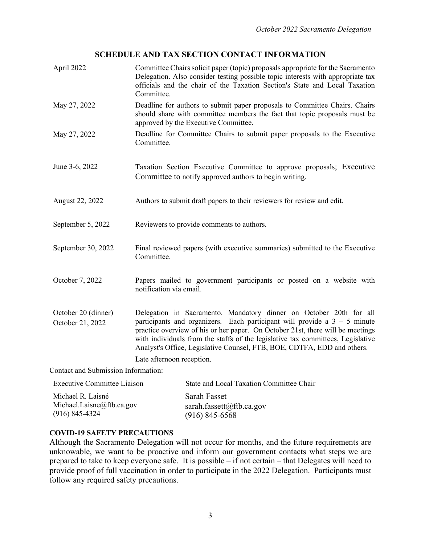#### **SCHEDULE AND TAX SECTION CONTACT INFORMATION**

| April 2022                              | Committee Chairs solicit paper (topic) proposals appropriate for the Sacramento<br>Delegation. Also consider testing possible topic interests with appropriate tax<br>officials and the chair of the Taxation Section's State and Local Taxation<br>Committee.                                                                                                                                    |
|-----------------------------------------|---------------------------------------------------------------------------------------------------------------------------------------------------------------------------------------------------------------------------------------------------------------------------------------------------------------------------------------------------------------------------------------------------|
| May 27, 2022                            | Deadline for authors to submit paper proposals to Committee Chairs. Chairs<br>should share with committee members the fact that topic proposals must be<br>approved by the Executive Committee.                                                                                                                                                                                                   |
| May 27, 2022                            | Deadline for Committee Chairs to submit paper proposals to the Executive<br>Committee.                                                                                                                                                                                                                                                                                                            |
| June 3-6, 2022                          | Taxation Section Executive Committee to approve proposals; Executive<br>Committee to notify approved authors to begin writing.                                                                                                                                                                                                                                                                    |
| August 22, 2022                         | Authors to submit draft papers to their reviewers for review and edit.                                                                                                                                                                                                                                                                                                                            |
| September 5, 2022                       | Reviewers to provide comments to authors.                                                                                                                                                                                                                                                                                                                                                         |
| September 30, 2022                      | Final reviewed papers (with executive summaries) submitted to the Executive<br>Committee.                                                                                                                                                                                                                                                                                                         |
| October 7, 2022                         | Papers mailed to government participants or posted on a website with<br>notification via email.                                                                                                                                                                                                                                                                                                   |
| October 20 (dinner)<br>October 21, 2022 | Delegation in Sacramento. Mandatory dinner on October 20th for all<br>participants and organizers. Each participant will provide a $3 - 5$ minute<br>practice overview of his or her paper. On October 21st, there will be meetings<br>with individuals from the staffs of the legislative tax committees, Legislative<br>Analyst's Office, Legislative Counsel, FTB, BOE, CDTFA, EDD and others. |
|                                         | Late afternoon reception.                                                                                                                                                                                                                                                                                                                                                                         |
| Contact and Submission Information:     |                                                                                                                                                                                                                                                                                                                                                                                                   |

Executive Committee Liaison Michael R. Laisné Michael.Laisne@ftb.ca.gov (916) 845-4324 State and Local Taxation Committee Chair Sarah Fasset sarah.fassett@ftb.ca.gov (916) 845-6568

#### **COVID-19 SAFETY PRECAUTIONS**

Although the Sacramento Delegation will not occur for months, and the future requirements are unknowable, we want to be proactive and inform our government contacts what steps we are prepared to take to keep everyone safe. It is possible – if not certain – that Delegates will need to provide proof of full vaccination in order to participate in the 2022 Delegation. Participants must follow any required safety precautions.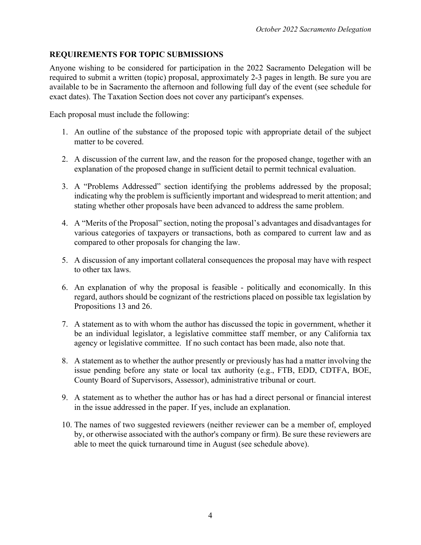#### **REQUIREMENTS FOR TOPIC SUBMISSIONS**

Anyone wishing to be considered for participation in the 2022 Sacramento Delegation will be required to submit a written (topic) proposal, approximately 2-3 pages in length. Be sure you are available to be in Sacramento the afternoon and following full day of the event (see schedule for exact dates). The Taxation Section does not cover any participant's expenses.

Each proposal must include the following:

- 1. An outline of the substance of the proposed topic with appropriate detail of the subject matter to be covered.
- 2. A discussion of the current law, and the reason for the proposed change, together with an explanation of the proposed change in sufficient detail to permit technical evaluation.
- 3. A "Problems Addressed" section identifying the problems addressed by the proposal; indicating why the problem is sufficiently important and widespread to merit attention; and stating whether other proposals have been advanced to address the same problem.
- 4. A "Merits of the Proposal" section, noting the proposal's advantages and disadvantages for various categories of taxpayers or transactions, both as compared to current law and as compared to other proposals for changing the law.
- 5. A discussion of any important collateral consequences the proposal may have with respect to other tax laws.
- 6. An explanation of why the proposal is feasible politically and economically. In this regard, authors should be cognizant of the restrictions placed on possible tax legislation by Propositions 13 and 26.
- 7. A statement as to with whom the author has discussed the topic in government, whether it be an individual legislator, a legislative committee staff member, or any California tax agency or legislative committee. If no such contact has been made, also note that.
- 8. A statement as to whether the author presently or previously has had a matter involving the issue pending before any state or local tax authority (e.g., FTB, EDD, CDTFA, BOE, County Board of Supervisors, Assessor), administrative tribunal or court.
- 9. A statement as to whether the author has or has had a direct personal or financial interest in the issue addressed in the paper. If yes, include an explanation.
- 10. The names of two suggested reviewers (neither reviewer can be a member of, employed by, or otherwise associated with the author's company or firm). Be sure these reviewers are able to meet the quick turnaround time in August (see schedule above).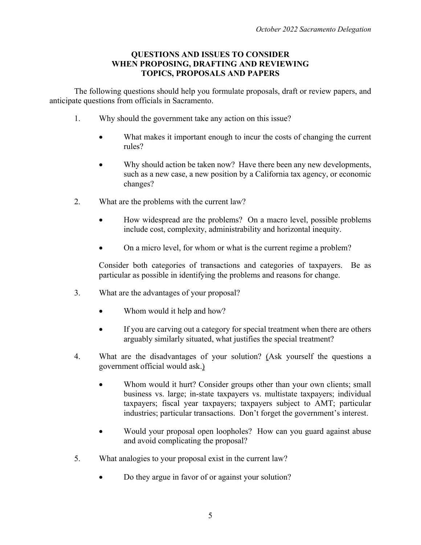#### **QUESTIONS AND ISSUES TO CONSIDER WHEN PROPOSING, DRAFTING AND REVIEWING TOPICS, PROPOSALS AND PAPERS**

The following questions should help you formulate proposals, draft or review papers, and anticipate questions from officials in Sacramento.

- 1. Why should the government take any action on this issue?
	- What makes it important enough to incur the costs of changing the current rules?
	- Why should action be taken now? Have there been any new developments, such as a new case, a new position by a California tax agency, or economic changes?
- 2. What are the problems with the current law?
	- How widespread are the problems? On a macro level, possible problems include cost, complexity, administrability and horizontal inequity.
	- On a micro level, for whom or what is the current regime a problem?

Consider both categories of transactions and categories of taxpayers. Be as particular as possible in identifying the problems and reasons for change.

- 3. What are the advantages of your proposal?
	- Whom would it help and how?
	- If you are carving out a category for special treatment when there are others arguably similarly situated, what justifies the special treatment?
- 4. What are the disadvantages of your solution? (Ask yourself the questions a government official would ask.)
	- Whom would it hurt? Consider groups other than your own clients; small business vs. large; in-state taxpayers vs. multistate taxpayers; individual taxpayers; fiscal year taxpayers; taxpayers subject to AMT; particular industries; particular transactions. Don't forget the government's interest.
	- Would your proposal open loopholes? How can you guard against abuse and avoid complicating the proposal?
- 5. What analogies to your proposal exist in the current law?
	- Do they argue in favor of or against your solution?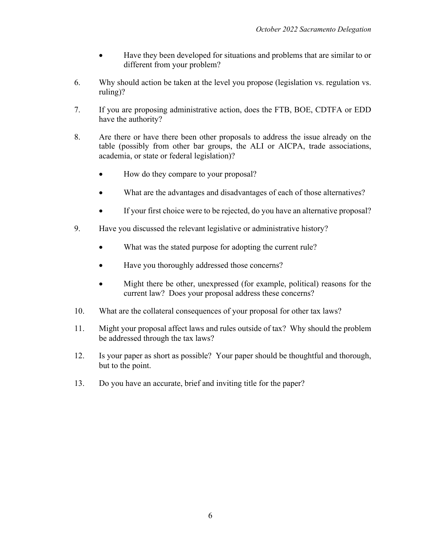- Have they been developed for situations and problems that are similar to or different from your problem?
- 6. Why should action be taken at the level you propose (legislation vs. regulation vs. ruling)?
- 7. If you are proposing administrative action, does the FTB, BOE, CDTFA or EDD have the authority?
- 8. Are there or have there been other proposals to address the issue already on the table (possibly from other bar groups, the ALI or AICPA, trade associations, academia, or state or federal legislation)?
	- How do they compare to your proposal?
	- What are the advantages and disadvantages of each of those alternatives?
	- If your first choice were to be rejected, do you have an alternative proposal?
- 9. Have you discussed the relevant legislative or administrative history?
	- What was the stated purpose for adopting the current rule?
	- Have you thoroughly addressed those concerns?
	- Might there be other, unexpressed (for example, political) reasons for the current law? Does your proposal address these concerns?
- 10. What are the collateral consequences of your proposal for other tax laws?
- 11. Might your proposal affect laws and rules outside of tax? Why should the problem be addressed through the tax laws?
- 12. Is your paper as short as possible? Your paper should be thoughtful and thorough, but to the point.
- 13. Do you have an accurate, brief and inviting title for the paper?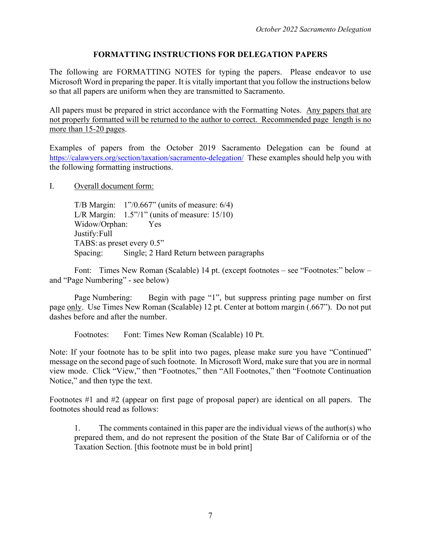#### **FORMATTING INSTRUCTIONS FOR DELEGATION PAPERS**

The following are FORMATTING NOTES for typing the papers. Please endeavor to use Microsoft Word in preparing the paper. It is vitally important that you follow the instructions below so that all papers are uniform when they are transmitted to Sacramento.

All papers must be prepared in strict accordance with the Formatting Notes. Any papers that are not properly formatted will be returned to the author to correct. Recommended page length is no more than 15-20 pages.

Examples of papers from the October 2019 Sacramento Delegation can be found at https://calawyers.org/section/taxation/sacramento-delegation/ These examples should help you with the following formatting instructions.

I. Overall document form:

T/B Margin: 1"/0.667" (units of measure: 6/4) L/R Margin:  $1.5"$ /1" (units of measure: 15/10) Widow/Orphan: Yes Justify:Full TABS: as preset every 0.5" Spacing: Single; 2 Hard Return between paragraphs

Font: Times New Roman (Scalable) 14 pt. (except footnotes – see "Footnotes:" below – and "Page Numbering" - see below)

Page Numbering: Begin with page "1", but suppress printing page number on first page only. Use Times New Roman (Scalable) 12 pt. Center at bottom margin (.667"). Do not put dashes before and after the number.

Footnotes: Font: Times New Roman (Scalable) 10 Pt.

Note: If your footnote has to be split into two pages, please make sure you have "Continued" message on the second page of such footnote. In Microsoft Word, make sure that you are in normal view mode. Click "View," then "Footnotes," then "All Footnotes," then "Footnote Continuation Notice," and then type the text.

Footnotes #1 and #2 (appear on first page of proposal paper) are identical on all papers. The footnotes should read as follows:

1. The comments contained in this paper are the individual views of the author(s) who prepared them, and do not represent the position of the State Bar of California or of the Taxation Section. [this footnote must be in bold print]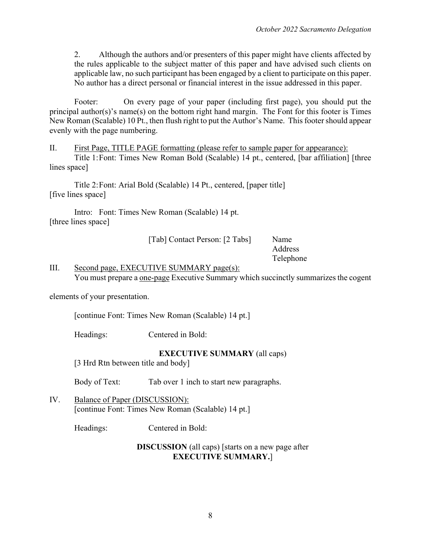2. Although the authors and/or presenters of this paper might have clients affected by the rules applicable to the subject matter of this paper and have advised such clients on applicable law, no such participant has been engaged by a client to participate on this paper. No author has a direct personal or financial interest in the issue addressed in this paper.

Footer: On every page of your paper (including first page), you should put the principal author(s)'s name(s) on the bottom right hand margin. The Font for this footer is Times New Roman (Scalable) 10 Pt., then flush right to put the Author's Name. This footer should appear evenly with the page numbering.

II. First Page, TITLE PAGE formatting (please refer to sample paper for appearance): Title 1:Font: Times New Roman Bold (Scalable) 14 pt., centered, [bar affiliation] [three

lines space]

Title 2:Font: Arial Bold (Scalable) 14 Pt., centered, [paper title] [five lines space]

Intro: Font: Times New Roman (Scalable) 14 pt. [three lines space]

[Tab] Contact Person: [2 Tabs] Name

Address Telephone

#### III. Second page, EXECUTIVE SUMMARY page(s): You must prepare a one-page Executive Summary which succinctly summarizes the cogent

elements of your presentation.

[continue Font: Times New Roman (Scalable) 14 pt.]

Headings: Centered in Bold:

**EXECUTIVE SUMMARY** (all caps)

[3 Hrd Rtn between title and body]

Body of Text: Tab over 1 inch to start new paragraphs.

IV. Balance of Paper (DISCUSSION): [continue Font: Times New Roman (Scalable) 14 pt.]

Headings: Centered in Bold:

#### **DISCUSSION** (all caps) [starts on a new page after **EXECUTIVE SUMMARY.**]